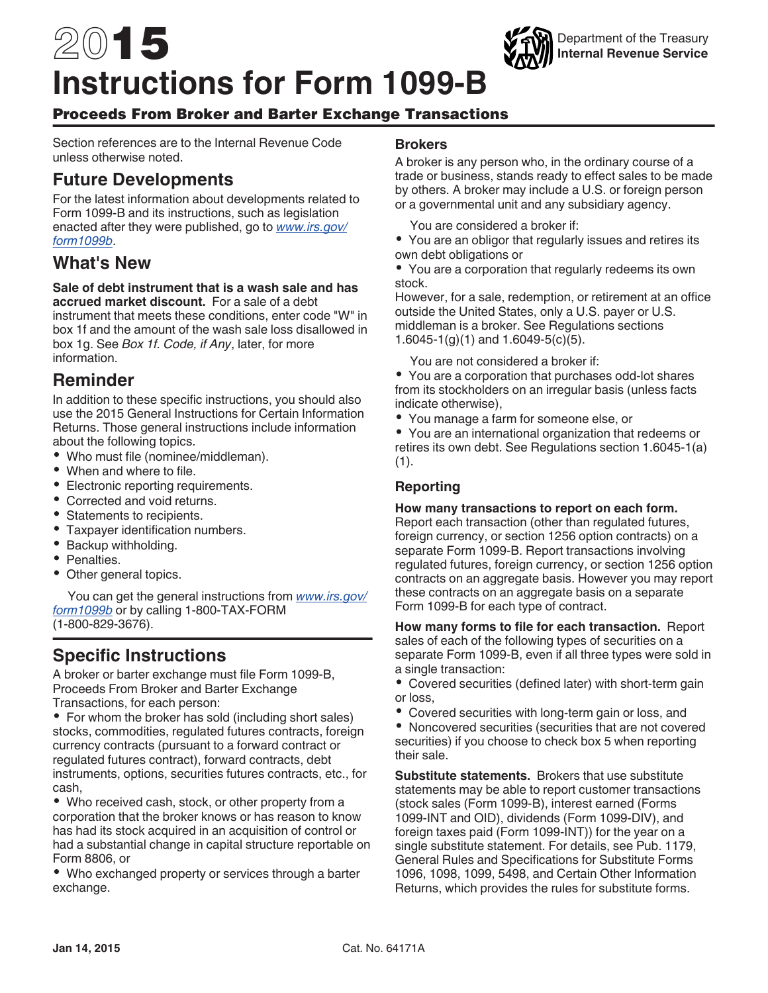# 2015 **Instructions for Form 1099-B**

# Proceeds From Broker and Barter Exchange Transactions

Section references are to the Internal Revenue Code unless otherwise noted.

# **Future Developments**

For the latest information about developments related to Form 1099-B and its instructions, such as legislation enacted after they were published, go to *[www.irs.gov/](http://www.irs.gov/form1099b) [form1099b](http://www.irs.gov/form1099b)*.

# **What's New**

#### **Sale of debt instrument that is a wash sale and has accrued market discount.** For a sale of a debt

instrument that meets these conditions, enter code "W" in box 1f and the amount of the wash sale loss disallowed in box 1g. See *Box 1f. Code, if Any*, later, for more information.

# **Reminder**

In addition to these specific instructions, you should also use the 2015 General Instructions for Certain Information Returns. Those general instructions include information about the following topics.

- Who must file (nominee/middleman).
- When and where to file.
- Electronic reporting requirements.
- Corrected and void returns.
- Statements to recipients.
- Taxpayer identification numbers.
- Backup withholding.
- Penalties.
- Other general topics.

You can get the general instructions from *[www.irs.gov/](http://www.irs.gov/form1099b) [form1099b](http://www.irs.gov/form1099b)* or by calling 1-800-TAX-FORM (1-800-829-3676).

# **Specific Instructions**

A broker or barter exchange must file Form 1099-B, Proceeds From Broker and Barter Exchange Transactions, for each person:

• For whom the broker has sold (including short sales) stocks, commodities, regulated futures contracts, foreign currency contracts (pursuant to a forward contract or regulated futures contract), forward contracts, debt instruments, options, securities futures contracts, etc., for cash,

Who received cash, stock, or other property from a corporation that the broker knows or has reason to know has had its stock acquired in an acquisition of control or had a substantial change in capital structure reportable on Form 8806, or

Who exchanged property or services through a barter exchange.

# **Brokers**

A broker is any person who, in the ordinary course of a trade or business, stands ready to effect sales to be made by others. A broker may include a U.S. or foreign person or a governmental unit and any subsidiary agency.

You are considered a broker if:

You are an obligor that regularly issues and retires its own debt obligations or

You are a corporation that regularly redeems its own stock.

However, for a sale, redemption, or retirement at an office outside the United States, only a U.S. payer or U.S. middleman is a broker. See Regulations sections 1.6045-1(g)(1) and 1.6049-5(c)(5).

You are not considered a broker if:

You are a corporation that purchases odd-lot shares from its stockholders on an irregular basis (unless facts indicate otherwise),

You manage a farm for someone else, or

You are an international organization that redeems or retires its own debt. See Regulations section 1.6045-1(a)  $(1).$ 

# **Reporting**

#### **How many transactions to report on each form.**

Report each transaction (other than regulated futures, foreign currency, or section 1256 option contracts) on a separate Form 1099-B. Report transactions involving regulated futures, foreign currency, or section 1256 option contracts on an aggregate basis. However you may report these contracts on an aggregate basis on a separate Form 1099-B for each type of contract.

**How many forms to file for each transaction.** Report sales of each of the following types of securities on a separate Form 1099-B, even if all three types were sold in a single transaction:

Covered securities (defined later) with short-term gain or loss,

Covered securities with long-term gain or loss, and

Noncovered securities (securities that are not covered securities) if you choose to check box 5 when reporting their sale.

**Substitute statements.** Brokers that use substitute statements may be able to report customer transactions (stock sales (Form 1099-B), interest earned (Forms 1099-INT and OID), dividends (Form 1099-DIV), and foreign taxes paid (Form 1099-INT)) for the year on a single substitute statement. For details, see Pub. 1179, General Rules and Specifications for Substitute Forms 1096, 1098, 1099, 5498, and Certain Other Information Returns, which provides the rules for substitute forms.

Department of the Treasury **Internal Revenue Service**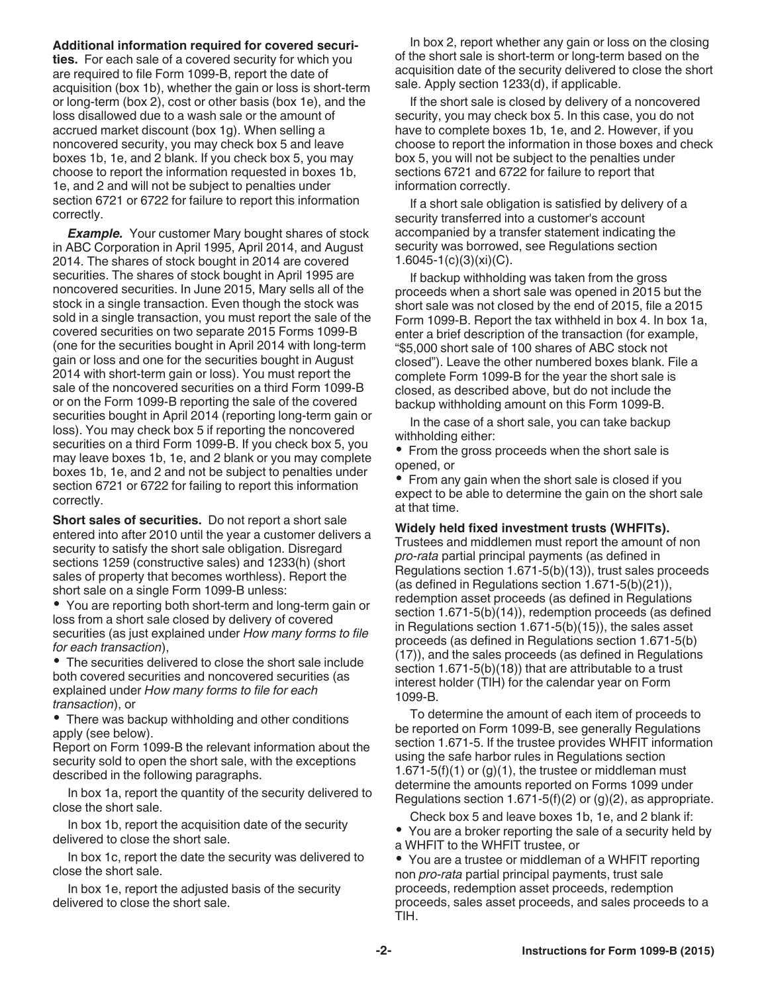**Additional information required for covered securities.** For each sale of a covered security for which you are required to file Form 1099-B, report the date of acquisition (box 1b), whether the gain or loss is short-term or long-term (box 2), cost or other basis (box 1e), and the loss disallowed due to a wash sale or the amount of accrued market discount (box 1g). When selling a noncovered security, you may check box 5 and leave boxes 1b, 1e, and 2 blank. If you check box 5, you may choose to report the information requested in boxes 1b, 1e, and 2 and will not be subject to penalties under section 6721 or 6722 for failure to report this information correctly.

**Example.** Your customer Mary bought shares of stock in ABC Corporation in April 1995, April 2014, and August 2014. The shares of stock bought in 2014 are covered securities. The shares of stock bought in April 1995 are noncovered securities. In June 2015, Mary sells all of the stock in a single transaction. Even though the stock was sold in a single transaction, you must report the sale of the covered securities on two separate 2015 Forms 1099-B (one for the securities bought in April 2014 with long-term gain or loss and one for the securities bought in August 2014 with short-term gain or loss). You must report the sale of the noncovered securities on a third Form 1099-B or on the Form 1099-B reporting the sale of the covered securities bought in April 2014 (reporting long-term gain or loss). You may check box 5 if reporting the noncovered securities on a third Form 1099-B. If you check box 5, you may leave boxes 1b, 1e, and 2 blank or you may complete boxes 1b, 1e, and 2 and not be subject to penalties under section 6721 or 6722 for failing to report this information correctly.

**Short sales of securities.** Do not report a short sale entered into after 2010 until the year a customer delivers a security to satisfy the short sale obligation. Disregard sections 1259 (constructive sales) and 1233(h) (short sales of property that becomes worthless). Report the short sale on a single Form 1099-B unless:

You are reporting both short-term and long-term gain or loss from a short sale closed by delivery of covered securities (as just explained under *How many forms to file for each transaction*),

The securities delivered to close the short sale include both covered securities and noncovered securities (as explained under *How many forms to file for each transaction*), or

There was backup withholding and other conditions apply (see below).

Report on Form 1099-B the relevant information about the security sold to open the short sale, with the exceptions described in the following paragraphs.

In box 1a, report the quantity of the security delivered to close the short sale.

In box 1b, report the acquisition date of the security delivered to close the short sale.

In box 1c, report the date the security was delivered to close the short sale.

In box 1e, report the adjusted basis of the security delivered to close the short sale.

In box 2, report whether any gain or loss on the closing of the short sale is short-term or long-term based on the acquisition date of the security delivered to close the short sale. Apply section 1233(d), if applicable.

If the short sale is closed by delivery of a noncovered security, you may check box 5. In this case, you do not have to complete boxes 1b, 1e, and 2. However, if you choose to report the information in those boxes and check box 5, you will not be subject to the penalties under sections 6721 and 6722 for failure to report that information correctly.

If a short sale obligation is satisfied by delivery of a security transferred into a customer's account accompanied by a transfer statement indicating the security was borrowed, see Regulations section 1.6045-1(c)(3)(xi)(C).

If backup withholding was taken from the gross proceeds when a short sale was opened in 2015 but the short sale was not closed by the end of 2015, file a 2015 Form 1099-B. Report the tax withheld in box 4. In box 1a, enter a brief description of the transaction (for example, "\$5,000 short sale of 100 shares of ABC stock not closed"). Leave the other numbered boxes blank. File a complete Form 1099-B for the year the short sale is closed, as described above, but do not include the backup withholding amount on this Form 1099-B.

In the case of a short sale, you can take backup withholding either:

• From the gross proceeds when the short sale is opened, or

• From any gain when the short sale is closed if you expect to be able to determine the gain on the short sale at that time.

#### **Widely held fixed investment trusts (WHFITs).**

Trustees and middlemen must report the amount of non *pro-rata* partial principal payments (as defined in Regulations section 1.671-5(b)(13)), trust sales proceeds (as defined in Regulations section 1.671-5(b)(21)), redemption asset proceeds (as defined in Regulations section 1.671-5(b)(14)), redemption proceeds (as defined in Regulations section 1.671-5(b)(15)), the sales asset proceeds (as defined in Regulations section 1.671-5(b) (17)), and the sales proceeds (as defined in Regulations section 1.671-5(b)(18)) that are attributable to a trust interest holder (TIH) for the calendar year on Form 1099-B.

To determine the amount of each item of proceeds to be reported on Form 1099-B, see generally Regulations section 1.671-5. If the trustee provides WHFIT information using the safe harbor rules in Regulations section 1.671-5(f)(1) or  $(q)(1)$ , the trustee or middleman must determine the amounts reported on Forms 1099 under Regulations section 1.671-5(f)(2) or (g)(2), as appropriate.

Check box 5 and leave boxes 1b, 1e, and 2 blank if:

You are a broker reporting the sale of a security held by a WHFIT to the WHFIT trustee, or

You are a trustee or middleman of a WHFIT reporting non *pro-rata* partial principal payments, trust sale proceeds, redemption asset proceeds, redemption proceeds, sales asset proceeds, and sales proceeds to a TIH.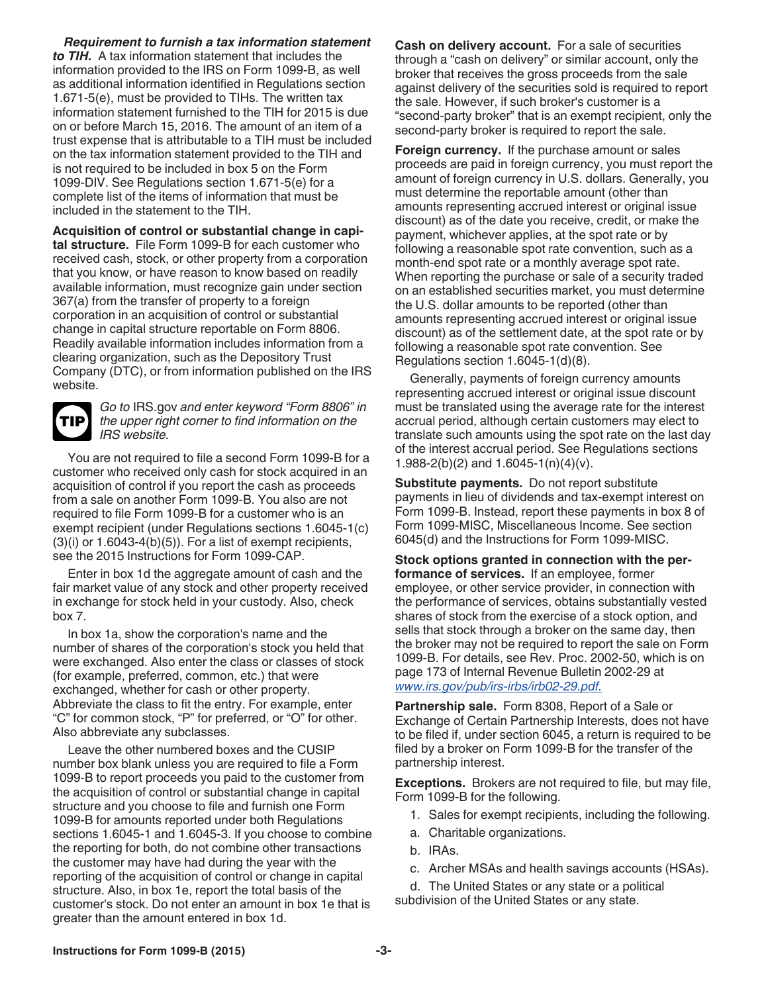*Requirement to furnish a tax information statement to TIH.* A tax information statement that includes the information provided to the IRS on Form 1099-B, as well as additional information identified in Regulations section 1.671-5(e), must be provided to TIHs. The written tax information statement furnished to the TIH for 2015 is due on or before March 15, 2016. The amount of an item of a trust expense that is attributable to a TIH must be included on the tax information statement provided to the TIH and is not required to be included in box 5 on the Form 1099-DIV. See Regulations section 1.671-5(e) for a complete list of the items of information that must be included in the statement to the TIH.

**Acquisition of control or substantial change in capital structure.** File Form 1099-B for each customer who received cash, stock, or other property from a corporation that you know, or have reason to know based on readily available information, must recognize gain under section 367(a) from the transfer of property to a foreign corporation in an acquisition of control or substantial change in capital structure reportable on Form 8806. Readily available information includes information from a clearing organization, such as the Depository Trust Company (DTC), or from information published on the IRS website.



*Go to* IRS.gov *and enter keyword "Form 8806" in the upper right corner to find information on the IRS website.*

You are not required to file a second Form 1099-B for a customer who received only cash for stock acquired in an acquisition of control if you report the cash as proceeds from a sale on another Form 1099-B. You also are not required to file Form 1099-B for a customer who is an exempt recipient (under Regulations sections 1.6045-1(c)  $(3)(i)$  or 1.6043-4 $(b)(5)$ . For a list of exempt recipients, see the 2015 Instructions for Form 1099-CAP.

Enter in box 1d the aggregate amount of cash and the fair market value of any stock and other property received in exchange for stock held in your custody. Also, check box 7.

In box 1a, show the corporation's name and the number of shares of the corporation's stock you held that were exchanged. Also enter the class or classes of stock (for example, preferred, common, etc.) that were exchanged, whether for cash or other property. Abbreviate the class to fit the entry. For example, enter "C" for common stock, "P" for preferred, or "O" for other. Also abbreviate any subclasses.

Leave the other numbered boxes and the CUSIP number box blank unless you are required to file a Form 1099-B to report proceeds you paid to the customer from the acquisition of control or substantial change in capital structure and you choose to file and furnish one Form 1099-B for amounts reported under both Regulations sections 1.6045-1 and 1.6045-3. If you choose to combine the reporting for both, do not combine other transactions the customer may have had during the year with the reporting of the acquisition of control or change in capital structure. Also, in box 1e, report the total basis of the customer's stock. Do not enter an amount in box 1e that is greater than the amount entered in box 1d.

**Cash on delivery account.** For a sale of securities through a "cash on delivery" or similar account, only the broker that receives the gross proceeds from the sale against delivery of the securities sold is required to report the sale. However, if such broker's customer is a "second-party broker" that is an exempt recipient, only the second-party broker is required to report the sale.

**Foreign currency.** If the purchase amount or sales proceeds are paid in foreign currency, you must report the amount of foreign currency in U.S. dollars. Generally, you must determine the reportable amount (other than amounts representing accrued interest or original issue discount) as of the date you receive, credit, or make the payment, whichever applies, at the spot rate or by following a reasonable spot rate convention, such as a month-end spot rate or a monthly average spot rate. When reporting the purchase or sale of a security traded on an established securities market, you must determine the U.S. dollar amounts to be reported (other than amounts representing accrued interest or original issue discount) as of the settlement date, at the spot rate or by following a reasonable spot rate convention. See Regulations section 1.6045-1(d)(8).

Generally, payments of foreign currency amounts representing accrued interest or original issue discount must be translated using the average rate for the interest accrual period, although certain customers may elect to translate such amounts using the spot rate on the last day of the interest accrual period. See Regulations sections 1.988-2(b)(2) and  $1.6045-1(n)(4)(v)$ .

**Substitute payments.** Do not report substitute payments in lieu of dividends and tax-exempt interest on Form 1099-B. Instead, report these payments in box 8 of Form 1099-MISC, Miscellaneous Income. See section 6045(d) and the Instructions for Form 1099-MISC.

**Stock options granted in connection with the performance of services.** If an employee, former employee, or other service provider, in connection with the performance of services, obtains substantially vested shares of stock from the exercise of a stock option, and sells that stock through a broker on the same day, then the broker may not be required to report the sale on Form 1099-B. For details, see Rev. Proc. 2002-50, which is on page 173 of Internal Revenue Bulletin 2002-29 at *[www.irs.gov/pub/irs-irbs/irb02-29.pdf.](http://www.irs.gov/pub/irs-irbs/irb02-29.pdf)*

**Partnership sale.** Form 8308, Report of a Sale or Exchange of Certain Partnership Interests, does not have to be filed if, under section 6045, a return is required to be filed by a broker on Form 1099-B for the transfer of the partnership interest.

**Exceptions.** Brokers are not required to file, but may file, Form 1099-B for the following.

- 1. Sales for exempt recipients, including the following.
- a. Charitable organizations.
- b. IRAs.
- c. Archer MSAs and health savings accounts (HSAs).

d. The United States or any state or a political subdivision of the United States or any state.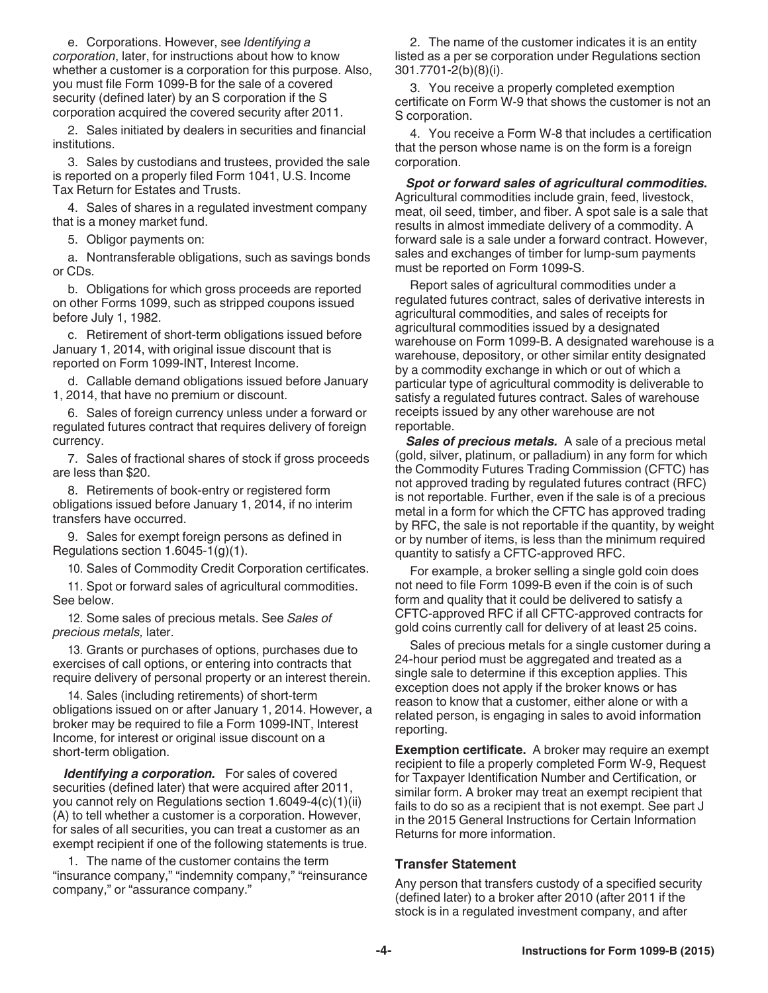<span id="page-3-0"></span>e. Corporations. However, see *Identifying a corporation*, later, for instructions about how to know whether a customer is a corporation for this purpose. Also, you must file Form 1099-B for the sale of a covered security (defined later) by an S corporation if the S corporation acquired the covered security after 2011.

2. Sales initiated by dealers in securities and financial institutions.

3. Sales by custodians and trustees, provided the sale is reported on a properly filed Form 1041, U.S. Income Tax Return for Estates and Trusts.

4. Sales of shares in a regulated investment company that is a money market fund.

5. Obligor payments on:

a. Nontransferable obligations, such as savings bonds or CDs.

b. Obligations for which gross proceeds are reported on other Forms 1099, such as stripped coupons issued before July 1, 1982.

c. Retirement of short-term obligations issued before January 1, 2014, with original issue discount that is reported on Form 1099-INT, Interest Income.

d. Callable demand obligations issued before January 1, 2014, that have no premium or discount.

6. Sales of foreign currency unless under a forward or regulated futures contract that requires delivery of foreign currency.

7. Sales of fractional shares of stock if gross proceeds are less than \$20.

8. Retirements of book-entry or registered form obligations issued before January 1, 2014, if no interim transfers have occurred.

9. Sales for exempt foreign persons as defined in Regulations section 1.6045-1(g)(1).

10. Sales of Commodity Credit Corporation certificates.

11. Spot or forward sales of agricultural commodities. See below.

12. Some sales of precious metals. See *Sales of precious metals,* later.

13. Grants or purchases of options, purchases due to exercises of call options, or entering into contracts that require delivery of personal property or an interest therein.

14. Sales (including retirements) of short-term obligations issued on or after January 1, 2014. However, a broker may be required to file a Form 1099-INT, Interest Income, for interest or original issue discount on a short-term obligation.

*Identifying a corporation.* For sales of covered securities (defined later) that were acquired after 2011, you cannot rely on Regulations section 1.6049-4(c)(1)(ii) (A) to tell whether a customer is a corporation. However, for sales of all securities, you can treat a customer as an exempt recipient if one of the following statements is true.

1. The name of the customer contains the term "insurance company," "indemnity company," "reinsurance company," or "assurance company."

2. The name of the customer indicates it is an entity listed as a per se corporation under Regulations section 301.7701-2(b)(8)(i).

3. You receive a properly completed exemption certificate on Form W-9 that shows the customer is not an S corporation.

4. You receive a Form W-8 that includes a certification that the person whose name is on the form is a foreign corporation.

*Spot or forward sales of agricultural commodities.*  Agricultural commodities include grain, feed, livestock, meat, oil seed, timber, and fiber. A spot sale is a sale that results in almost immediate delivery of a commodity. A forward sale is a sale under a forward contract. However, sales and exchanges of timber for lump-sum payments must be reported on Form 1099-S.

Report sales of agricultural commodities under a regulated futures contract, sales of derivative interests in agricultural commodities, and sales of receipts for agricultural commodities issued by a designated warehouse on Form 1099-B. A designated warehouse is a warehouse, depository, or other similar entity designated by a commodity exchange in which or out of which a particular type of agricultural commodity is deliverable to satisfy a regulated futures contract. Sales of warehouse receipts issued by any other warehouse are not reportable.

*Sales of precious metals.* A sale of a precious metal (gold, silver, platinum, or palladium) in any form for which the Commodity Futures Trading Commission (CFTC) has not approved trading by regulated futures contract (RFC) is not reportable. Further, even if the sale is of a precious metal in a form for which the CFTC has approved trading by RFC, the sale is not reportable if the quantity, by weight or by number of items, is less than the minimum required quantity to satisfy a CFTC-approved RFC.

For example, a broker selling a single gold coin does not need to file Form 1099-B even if the coin is of such form and quality that it could be delivered to satisfy a CFTC-approved RFC if all CFTC-approved contracts for gold coins currently call for delivery of at least 25 coins.

Sales of precious metals for a single customer during a 24-hour period must be aggregated and treated as a single sale to determine if this exception applies. This exception does not apply if the broker knows or has reason to know that a customer, either alone or with a related person, is engaging in sales to avoid information reporting.

**Exemption certificate.** A broker may require an exempt recipient to file a properly completed Form W-9, Request for Taxpayer Identification Number and Certification, or similar form. A broker may treat an exempt recipient that fails to do so as a recipient that is not exempt. See part J in the 2015 General Instructions for Certain Information Returns for more information.

#### **Transfer Statement**

Any person that transfers custody of a specified security (defined later) to a broker after 2010 (after 2011 if the stock is in a regulated investment company, and after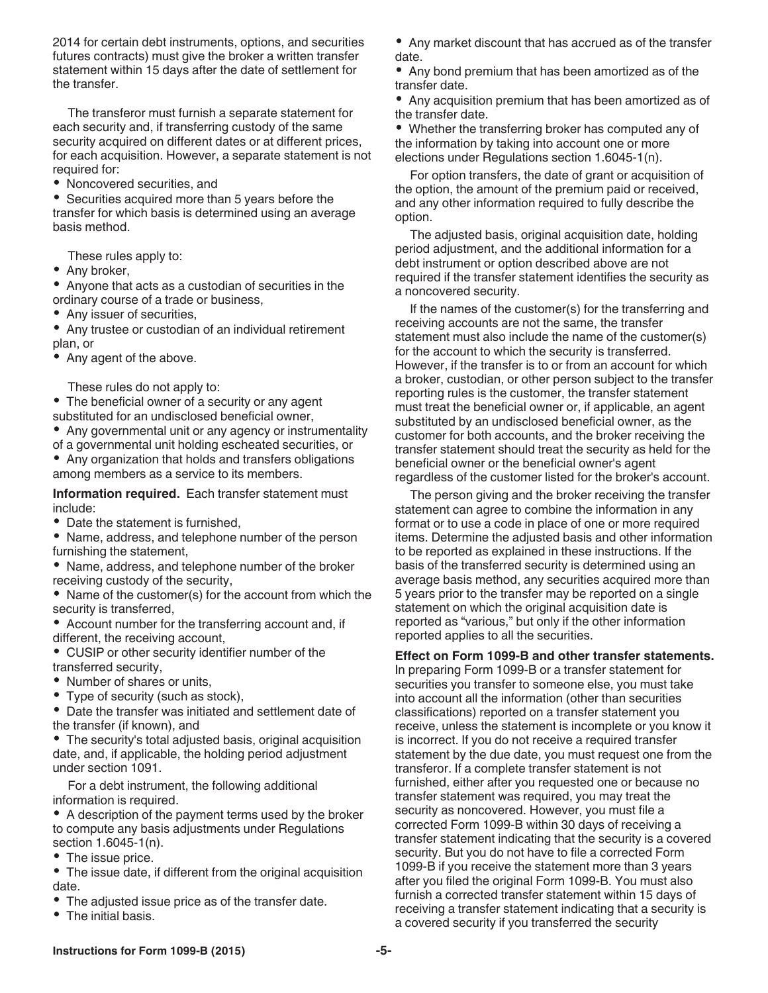2014 for certain debt instruments, options, and securities futures contracts) must give the broker a written transfer statement within 15 days after the date of settlement for the transfer.

The transferor must furnish a separate statement for each security and, if transferring custody of the same security acquired on different dates or at different prices, for each acquisition. However, a separate statement is not required for:

Noncovered securities, and

• Securities acquired more than 5 years before the transfer for which basis is determined using an average basis method.

These rules apply to:

• Any broker,

 $\bullet$ Anyone that acts as a custodian of securities in the ordinary course of a trade or business,

• Any issuer of securities,

Any trustee or custodian of an individual retirement plan, or

• Any agent of the above.

These rules do not apply to:

• The beneficial owner of a security or any agent substituted for an undisclosed beneficial owner,

Any governmental unit or any agency or instrumentality of a governmental unit holding escheated securities, or

Any organization that holds and transfers obligations among members as a service to its members.

**Information required.** Each transfer statement must include:

• Date the statement is furnished,

Name, address, and telephone number of the person furnishing the statement,

- Name, address, and telephone number of the broker receiving custody of the security,
- Name of the customer(s) for the account from which the security is transferred,
- Account number for the transferring account and, if different, the receiving account,
- CUSIP or other security identifier number of the transferred security,
- Number of shares or units,
- Type of security (such as stock),

Date the transfer was initiated and settlement date of the transfer (if known), and

The security's total adjusted basis, original acquisition date, and, if applicable, the holding period adjustment under section 1091.

For a debt instrument, the following additional information is required.

A description of the payment terms used by the broker to compute any basis adjustments under Regulations section 1.6045-1(n).

• The issue price.

The issue date, if different from the original acquisition date.

The adjusted issue price as of the transfer date.

• The initial basis.

Any market discount that has accrued as of the transfer date.

Any bond premium that has been amortized as of the transfer date.

Any acquisition premium that has been amortized as of the transfer date.

Whether the transferring broker has computed any of the information by taking into account one or more elections under Regulations section 1.6045-1(n).

For option transfers, the date of grant or acquisition of the option, the amount of the premium paid or received, and any other information required to fully describe the option.

The adjusted basis, original acquisition date, holding period adjustment, and the additional information for a debt instrument or option described above are not required if the transfer statement identifies the security as a noncovered security.

If the names of the customer(s) for the transferring and receiving accounts are not the same, the transfer statement must also include the name of the customer(s) for the account to which the security is transferred. However, if the transfer is to or from an account for which a broker, custodian, or other person subject to the transfer reporting rules is the customer, the transfer statement must treat the beneficial owner or, if applicable, an agent substituted by an undisclosed beneficial owner, as the customer for both accounts, and the broker receiving the transfer statement should treat the security as held for the beneficial owner or the beneficial owner's agent regardless of the customer listed for the broker's account.

The person giving and the broker receiving the transfer statement can agree to combine the information in any format or to use a code in place of one or more required items. Determine the adjusted basis and other information to be reported as explained in these instructions. If the basis of the transferred security is determined using an average basis method, any securities acquired more than 5 years prior to the transfer may be reported on a single statement on which the original acquisition date is reported as "various," but only if the other information reported applies to all the securities.

**Effect on Form 1099-B and other transfer statements.**  In preparing Form 1099-B or a transfer statement for securities you transfer to someone else, you must take into account all the information (other than securities classifications) reported on a transfer statement you receive, unless the statement is incomplete or you know it is incorrect. If you do not receive a required transfer statement by the due date, you must request one from the transferor. If a complete transfer statement is not furnished, either after you requested one or because no transfer statement was required, you may treat the security as noncovered. However, you must file a corrected Form 1099-B within 30 days of receiving a transfer statement indicating that the security is a covered security. But you do not have to file a corrected Form 1099-B if you receive the statement more than 3 years after you filed the original Form 1099-B. You must also furnish a corrected transfer statement within 15 days of receiving a transfer statement indicating that a security is a covered security if you transferred the security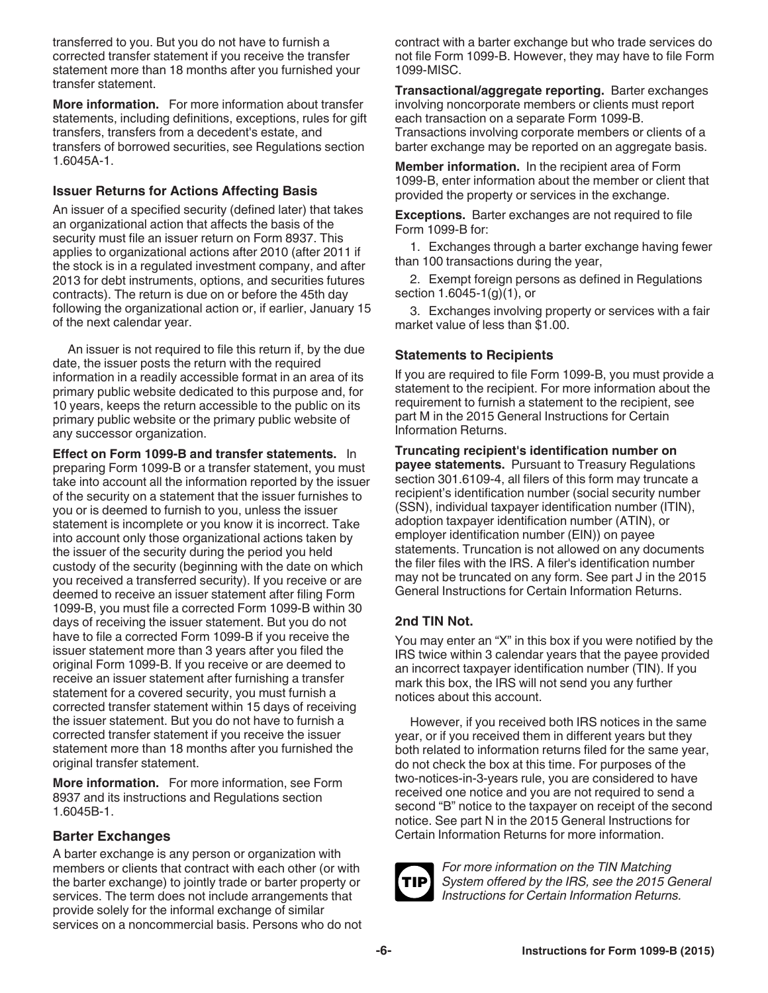transferred to you. But you do not have to furnish a corrected transfer statement if you receive the transfer statement more than 18 months after you furnished your transfer statement.

**More information.** For more information about transfer statements, including definitions, exceptions, rules for gift transfers, transfers from a decedent's estate, and transfers of borrowed securities, see Regulations section 1.6045A-1.

#### **Issuer Returns for Actions Affecting Basis**

An issuer of a specified security (defined later) that takes an organizational action that affects the basis of the security must file an issuer return on Form 8937. This applies to organizational actions after 2010 (after 2011 if the stock is in a regulated investment company, and after 2013 for debt instruments, options, and securities futures contracts). The return is due on or before the 45th day following the organizational action or, if earlier, January 15 of the next calendar year.

An issuer is not required to file this return if, by the due date, the issuer posts the return with the required information in a readily accessible format in an area of its primary public website dedicated to this purpose and, for 10 years, keeps the return accessible to the public on its primary public website or the primary public website of any successor organization.

**Effect on Form 1099-B and transfer statements.** In preparing Form 1099-B or a transfer statement, you must take into account all the information reported by the issuer of the security on a statement that the issuer furnishes to you or is deemed to furnish to you, unless the issuer statement is incomplete or you know it is incorrect. Take into account only those organizational actions taken by the issuer of the security during the period you held custody of the security (beginning with the date on which you received a transferred security). If you receive or are deemed to receive an issuer statement after filing Form 1099-B, you must file a corrected Form 1099-B within 30 days of receiving the issuer statement. But you do not have to file a corrected Form 1099-B if you receive the issuer statement more than 3 years after you filed the original Form 1099-B. If you receive or are deemed to receive an issuer statement after furnishing a transfer statement for a covered security, you must furnish a corrected transfer statement within 15 days of receiving the issuer statement. But you do not have to furnish a corrected transfer statement if you receive the issuer statement more than 18 months after you furnished the original transfer statement.

**More information.** For more information, see Form 8937 and its instructions and Regulations section 1.6045B-1.

#### **Barter Exchanges**

A barter exchange is any person or organization with members or clients that contract with each other (or with the barter exchange) to jointly trade or barter property or services. The term does not include arrangements that provide solely for the informal exchange of similar services on a noncommercial basis. Persons who do not contract with a barter exchange but who trade services do not file Form 1099-B. However, they may have to file Form 1099-MISC.

**Transactional/aggregate reporting.** Barter exchanges involving noncorporate members or clients must report each transaction on a separate Form 1099-B. Transactions involving corporate members or clients of a barter exchange may be reported on an aggregate basis.

**Member information.** In the recipient area of Form 1099-B, enter information about the member or client that provided the property or services in the exchange.

**Exceptions.** Barter exchanges are not required to file Form 1099-B for:

1. Exchanges through a barter exchange having fewer than 100 transactions during the year,

2. Exempt foreign persons as defined in Regulations section 1.6045-1(g)(1), or

3. Exchanges involving property or services with a fair market value of less than \$1.00.

#### **Statements to Recipients**

If you are required to file Form 1099-B, you must provide a statement to the recipient. For more information about the requirement to furnish a statement to the recipient, see part M in the 2015 General Instructions for Certain Information Returns.

**Truncating recipient's identification number on payee statements.** Pursuant to Treasury Regulations section 301.6109-4, all filers of this form may truncate a recipient's identification number (social security number (SSN), individual taxpayer identification number (ITIN), adoption taxpayer identification number (ATIN), or employer identification number (EIN)) on payee statements. Truncation is not allowed on any documents the filer files with the IRS. A filer's identification number may not be truncated on any form. See part J in the 2015 General Instructions for Certain Information Returns.

#### **2nd TIN Not.**

You may enter an "X" in this box if you were notified by the IRS twice within 3 calendar years that the payee provided an incorrect taxpayer identification number (TIN). If you mark this box, the IRS will not send you any further notices about this account.

However, if you received both IRS notices in the same year, or if you received them in different years but they both related to information returns filed for the same year, do not check the box at this time. For purposes of the two-notices-in-3-years rule, you are considered to have received one notice and you are not required to send a second "B" notice to the taxpayer on receipt of the second notice. See part N in the 2015 General Instructions for Certain Information Returns for more information.



*For more information on the TIN Matching System offered by the IRS, see the 2015 General Instructions for Certain Information Returns.*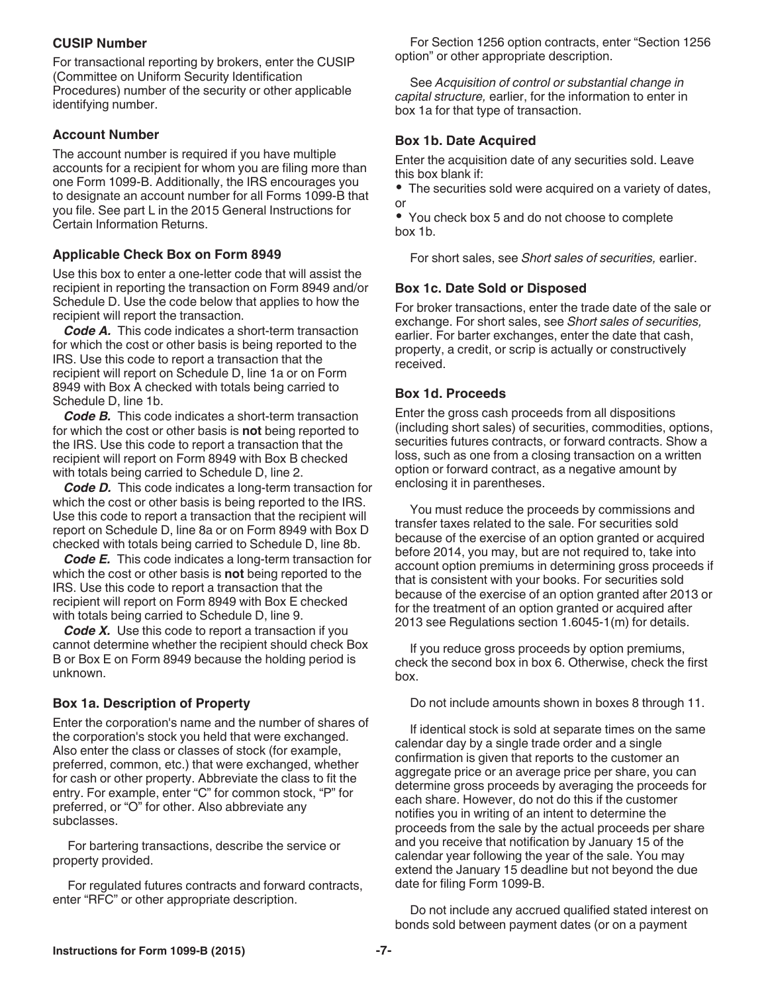#### **CUSIP Number**

For transactional reporting by brokers, enter the CUSIP (Committee on Uniform Security Identification Procedures) number of the security or other applicable identifying number.

### **Account Number**

The account number is required if you have multiple accounts for a recipient for whom you are filing more than one Form 1099-B. Additionally, the IRS encourages you to designate an account number for all Forms 1099-B that you file. See part L in the 2015 General Instructions for Certain Information Returns.

#### **Applicable Check Box on Form 8949**

Use this box to enter a one-letter code that will assist the recipient in reporting the transaction on Form 8949 and/or Schedule D. Use the code below that applies to how the recipient will report the transaction.

*Code A.* This code indicates a short-term transaction for which the cost or other basis is being reported to the IRS. Use this code to report a transaction that the recipient will report on Schedule D, line 1a or on Form 8949 with Box A checked with totals being carried to Schedule D, line 1b.

*Code B.* This code indicates a short-term transaction for which the cost or other basis is **not** being reported to the IRS. Use this code to report a transaction that the recipient will report on Form 8949 with Box B checked with totals being carried to Schedule D, line 2.

*Code D.* This code indicates a long-term transaction for which the cost or other basis is being reported to the IRS. Use this code to report a transaction that the recipient will report on Schedule D, line 8a or on Form 8949 with Box D checked with totals being carried to Schedule D, line 8b.

**Code E.** This code indicates a long-term transaction for which the cost or other basis is **not** being reported to the IRS. Use this code to report a transaction that the recipient will report on Form 8949 with Box E checked with totals being carried to Schedule D, line 9.

*Code X.* Use this code to report a transaction if you cannot determine whether the recipient should check Box B or Box E on Form 8949 because the holding period is unknown.

## **Box 1a. Description of Property**

Enter the corporation's name and the number of shares of the corporation's stock you held that were exchanged. Also enter the class or classes of stock (for example, preferred, common, etc.) that were exchanged, whether for cash or other property. Abbreviate the class to fit the entry. For example, enter "C" for common stock, "P" for preferred, or "O" for other. Also abbreviate any subclasses.

For bartering transactions, describe the service or property provided.

For regulated futures contracts and forward contracts, enter "RFC" or other appropriate description.

For Section 1256 option contracts, enter "Section 1256 option" or other appropriate description.

See *Acquisition of control or substantial change in capital structure,* earlier, for the information to enter in box 1a for that type of transaction.

## **Box 1b. Date Acquired**

Enter the acquisition date of any securities sold. Leave this box blank if:

The securities sold were acquired on a variety of dates, or

You check box 5 and do not choose to complete box 1b.

For short sales, see *Short sales of securities,* earlier.

#### **Box 1c. Date Sold or Disposed**

For broker transactions, enter the trade date of the sale or exchange. For short sales, see *Short sales of securities,*  earlier. For barter exchanges, enter the date that cash, property, a credit, or scrip is actually or constructively received.

#### **Box 1d. Proceeds**

Enter the gross cash proceeds from all dispositions (including short sales) of securities, commodities, options, securities futures contracts, or forward contracts. Show a loss, such as one from a closing transaction on a written option or forward contract, as a negative amount by enclosing it in parentheses.

You must reduce the proceeds by commissions and transfer taxes related to the sale. For securities sold because of the exercise of an option granted or acquired before 2014, you may, but are not required to, take into account option premiums in determining gross proceeds if that is consistent with your books. For securities sold because of the exercise of an option granted after 2013 or for the treatment of an option granted or acquired after 2013 see Regulations section 1.6045-1(m) for details.

If you reduce gross proceeds by option premiums, check the second box in box 6. Otherwise, check the first box.

Do not include amounts shown in boxes 8 through 11.

If identical stock is sold at separate times on the same calendar day by a single trade order and a single confirmation is given that reports to the customer an aggregate price or an average price per share, you can determine gross proceeds by averaging the proceeds for each share. However, do not do this if the customer notifies you in writing of an intent to determine the proceeds from the sale by the actual proceeds per share and you receive that notification by January 15 of the calendar year following the year of the sale. You may extend the January 15 deadline but not beyond the due date for filing Form 1099-B.

Do not include any accrued qualified stated interest on bonds sold between payment dates (or on a payment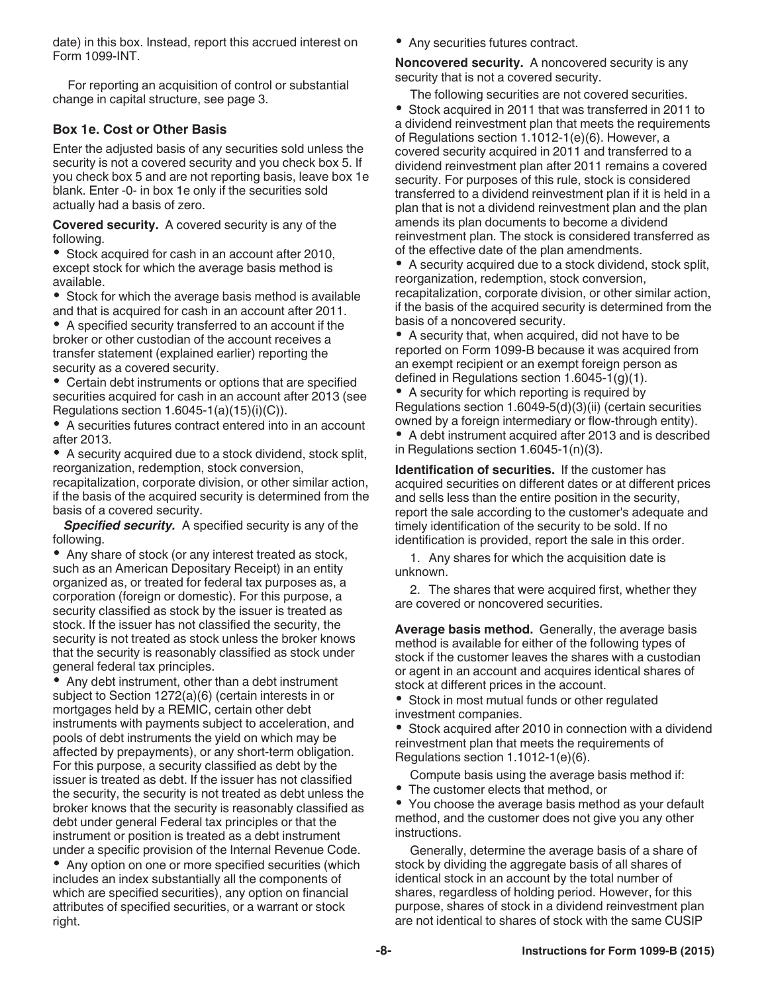date) in this box. Instead, report this accrued interest on Form 1099-INT.

For reporting an acquisition of control or substantial change in capital structure, see page 3.

#### **Box 1e. Cost or Other Basis**

Enter the adjusted basis of any securities sold unless the security is not a covered security and you check box 5. If you check box 5 and are not reporting basis, leave box 1e blank. Enter -0- in box 1e only if the securities sold actually had a basis of zero.

**Covered security.** A covered security is any of the following.

• Stock acquired for cash in an account after 2010, except stock for which the average basis method is available.

• Stock for which the average basis method is available and that is acquired for cash in an account after 2011.

A specified security transferred to an account if the broker or other custodian of the account receives a transfer statement (explained earlier) reporting the security as a covered security.

Certain debt instruments or options that are specified securities acquired for cash in an account after 2013 (see Regulations section  $1.6045 - 1(a)(15)(i)(C)$ .

A securities futures contract entered into in an account after 2013.

A security acquired due to a stock dividend, stock split, reorganization, redemption, stock conversion,

recapitalization, corporate division, or other similar action, if the basis of the acquired security is determined from the basis of a covered security.

*Specified security.* A specified security is any of the following.

Any share of stock (or any interest treated as stock, such as an American Depositary Receipt) in an entity organized as, or treated for federal tax purposes as, a corporation (foreign or domestic). For this purpose, a security classified as stock by the issuer is treated as stock. If the issuer has not classified the security, the security is not treated as stock unless the broker knows that the security is reasonably classified as stock under general federal tax principles.

Any debt instrument, other than a debt instrument subject to Section 1272(a)(6) (certain interests in or mortgages held by a REMIC, certain other debt instruments with payments subject to acceleration, and pools of debt instruments the yield on which may be affected by prepayments), or any short-term obligation. For this purpose, a security classified as debt by the issuer is treated as debt. If the issuer has not classified the security, the security is not treated as debt unless the broker knows that the security is reasonably classified as debt under general Federal tax principles or that the instrument or position is treated as a debt instrument under a specific provision of the Internal Revenue Code.

Any option on one or more specified securities (which includes an index substantially all the components of which are specified securities), any option on financial attributes of specified securities, or a warrant or stock right.

Any securities futures contract.

**Noncovered security.** A noncovered security is any security that is not a covered security.

The following securities are not covered securities.

Stock acquired in 2011 that was transferred in 2011 to a dividend reinvestment plan that meets the requirements of Regulations section 1.1012-1(e)(6). However, a covered security acquired in 2011 and transferred to a dividend reinvestment plan after 2011 remains a covered security. For purposes of this rule, stock is considered transferred to a dividend reinvestment plan if it is held in a plan that is not a dividend reinvestment plan and the plan amends its plan documents to become a dividend reinvestment plan. The stock is considered transferred as of the effective date of the plan amendments.

A security acquired due to a stock dividend, stock split, reorganization, redemption, stock conversion, recapitalization, corporate division, or other similar action, if the basis of the acquired security is determined from the basis of a noncovered security.

A security that, when acquired, did not have to be reported on Form 1099-B because it was acquired from an exempt recipient or an exempt foreign person as defined in Regulations section 1.6045-1(g)(1).

A security for which reporting is required by Regulations section 1.6049-5(d)(3)(ii) (certain securities owned by a foreign intermediary or flow-through entity). A debt instrument acquired after 2013 and is described in Regulations section 1.6045-1(n)(3).

**Identification of securities.** If the customer has acquired securities on different dates or at different prices and sells less than the entire position in the security, report the sale according to the customer's adequate and timely identification of the security to be sold. If no identification is provided, report the sale in this order.

1. Any shares for which the acquisition date is unknown.

2. The shares that were acquired first, whether they are covered or noncovered securities.

**Average basis method.** Generally, the average basis method is available for either of the following types of stock if the customer leaves the shares with a custodian or agent in an account and acquires identical shares of stock at different prices in the account.

• Stock in most mutual funds or other regulated investment companies.

Stock acquired after 2010 in connection with a dividend reinvestment plan that meets the requirements of Regulations section 1.1012-1(e)(6).

Compute basis using the average basis method if:

The customer elects that method, or

You choose the average basis method as your default method, and the customer does not give you any other instructions.

Generally, determine the average basis of a share of stock by dividing the aggregate basis of all shares of identical stock in an account by the total number of shares, regardless of holding period. However, for this purpose, shares of stock in a dividend reinvestment plan are not identical to shares of stock with the same CUSIP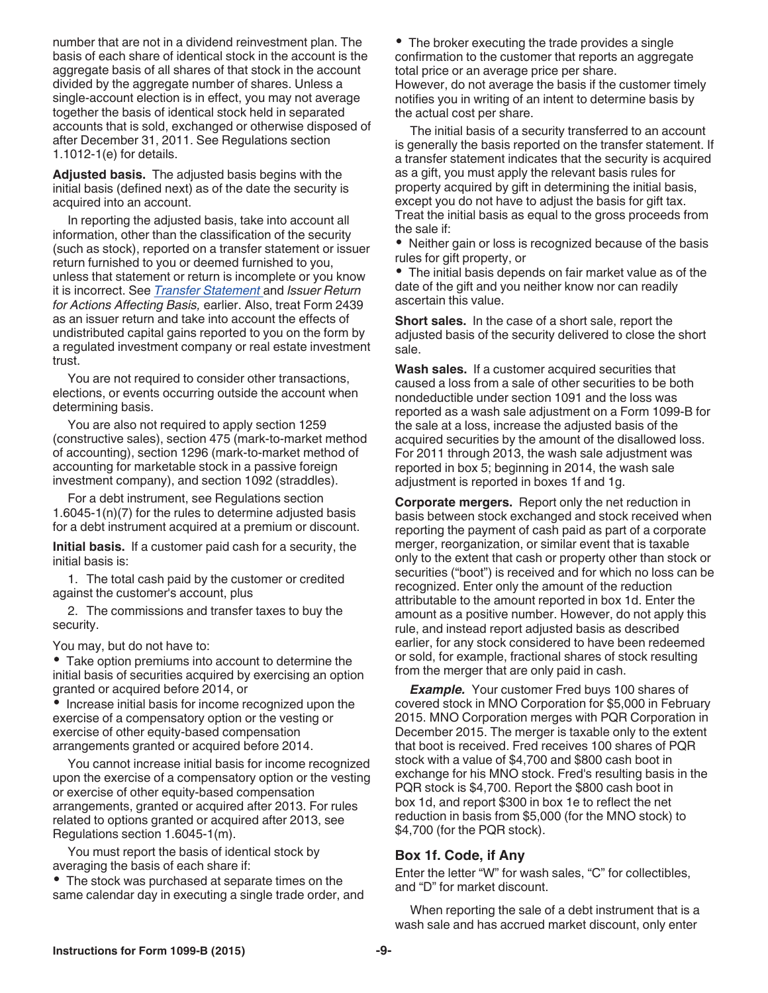number that are not in a dividend reinvestment plan. The basis of each share of identical stock in the account is the aggregate basis of all shares of that stock in the account divided by the aggregate number of shares. Unless a single-account election is in effect, you may not average together the basis of identical stock held in separated accounts that is sold, exchanged or otherwise disposed of after December 31, 2011. See Regulations section 1.1012-1(e) for details.

**Adjusted basis.** The adjusted basis begins with the initial basis (defined next) as of the date the security is acquired into an account.

In reporting the adjusted basis, take into account all information, other than the classification of the security (such as stock), reported on a transfer statement or issuer return furnished to you or deemed furnished to you, unless that statement or return is incomplete or you know it is incorrect. See *[Transfer Statement](#page-3-0)* and *Issuer Return for Actions Affecting Basis,* earlier. Also, treat Form 2439 as an issuer return and take into account the effects of undistributed capital gains reported to you on the form by a regulated investment company or real estate investment trust.

You are not required to consider other transactions, elections, or events occurring outside the account when determining basis.

You are also not required to apply section 1259 (constructive sales), section 475 (mark-to-market method of accounting), section 1296 (mark-to-market method of accounting for marketable stock in a passive foreign investment company), and section 1092 (straddles).

For a debt instrument, see Regulations section 1.6045-1(n)(7) for the rules to determine adjusted basis for a debt instrument acquired at a premium or discount.

**Initial basis.** If a customer paid cash for a security, the initial basis is:

1. The total cash paid by the customer or credited against the customer's account, plus

2. The commissions and transfer taxes to buy the security.

You may, but do not have to:

Take option premiums into account to determine the initial basis of securities acquired by exercising an option granted or acquired before 2014, or

• Increase initial basis for income recognized upon the exercise of a compensatory option or the vesting or exercise of other equity-based compensation arrangements granted or acquired before 2014.

You cannot increase initial basis for income recognized upon the exercise of a compensatory option or the vesting or exercise of other equity-based compensation arrangements, granted or acquired after 2013. For rules related to options granted or acquired after 2013, see Regulations section 1.6045-1(m).

You must report the basis of identical stock by averaging the basis of each share if:

The stock was purchased at separate times on the same calendar day in executing a single trade order, and

• The broker executing the trade provides a single confirmation to the customer that reports an aggregate total price or an average price per share. However, do not average the basis if the customer timely notifies you in writing of an intent to determine basis by the actual cost per share.

The initial basis of a security transferred to an account is generally the basis reported on the transfer statement. If a transfer statement indicates that the security is acquired as a gift, you must apply the relevant basis rules for property acquired by gift in determining the initial basis, except you do not have to adjust the basis for gift tax. Treat the initial basis as equal to the gross proceeds from the sale if:

• Neither gain or loss is recognized because of the basis rules for gift property, or

The initial basis depends on fair market value as of the date of the gift and you neither know nor can readily ascertain this value.

**Short sales.** In the case of a short sale, report the adjusted basis of the security delivered to close the short sale.

**Wash sales.** If a customer acquired securities that caused a loss from a sale of other securities to be both nondeductible under section 1091 and the loss was reported as a wash sale adjustment on a Form 1099-B for the sale at a loss, increase the adjusted basis of the acquired securities by the amount of the disallowed loss. For 2011 through 2013, the wash sale adjustment was reported in box 5; beginning in 2014, the wash sale adjustment is reported in boxes 1f and 1g.

**Corporate mergers.** Report only the net reduction in basis between stock exchanged and stock received when reporting the payment of cash paid as part of a corporate merger, reorganization, or similar event that is taxable only to the extent that cash or property other than stock or securities ("boot") is received and for which no loss can be recognized. Enter only the amount of the reduction attributable to the amount reported in box 1d. Enter the amount as a positive number. However, do not apply this rule, and instead report adjusted basis as described earlier, for any stock considered to have been redeemed or sold, for example, fractional shares of stock resulting from the merger that are only paid in cash.

*Example.* Your customer Fred buys 100 shares of covered stock in MNO Corporation for \$5,000 in February 2015. MNO Corporation merges with PQR Corporation in December 2015. The merger is taxable only to the extent that boot is received. Fred receives 100 shares of PQR stock with a value of \$4,700 and \$800 cash boot in exchange for his MNO stock. Fred's resulting basis in the PQR stock is \$4,700. Report the \$800 cash boot in box 1d, and report \$300 in box 1e to reflect the net reduction in basis from \$5,000 (for the MNO stock) to \$4,700 (for the PQR stock).

## **Box 1f. Code, if Any**

Enter the letter "W" for wash sales, "C" for collectibles, and "D" for market discount.

When reporting the sale of a debt instrument that is a wash sale and has accrued market discount, only enter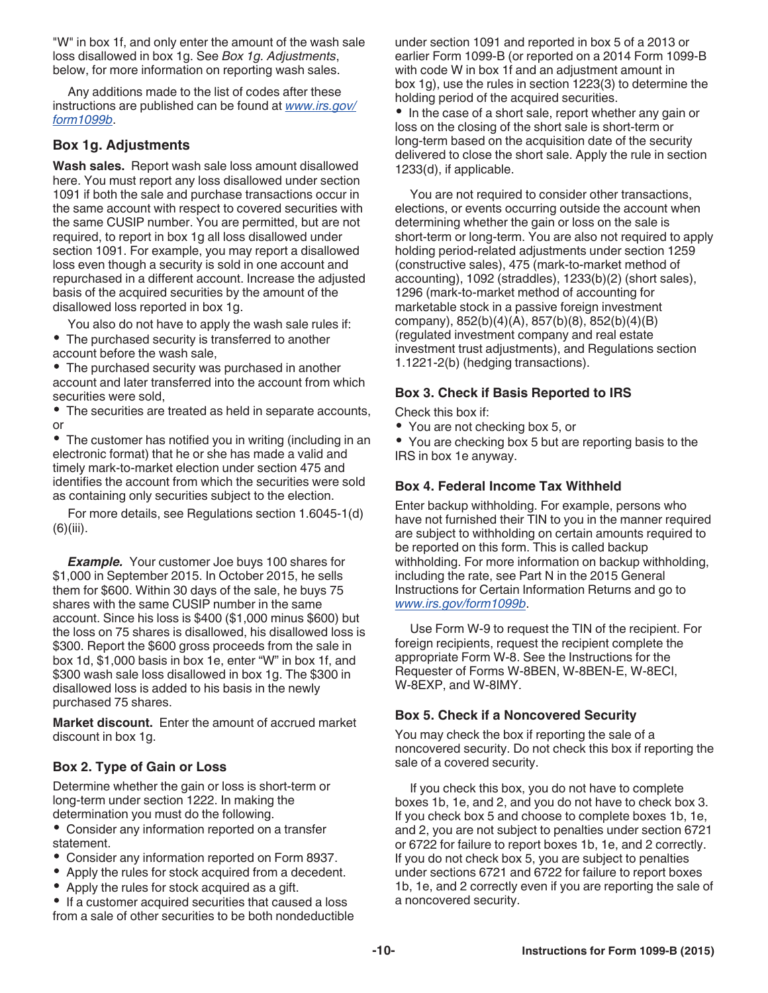"W" in box 1f, and only enter the amount of the wash sale loss disallowed in box 1g. See *Box 1g. Adjustments*, below, for more information on reporting wash sales.

Any additions made to the list of codes after these instructions are published can be found at *[www.irs.gov/](http://www.irs.gov/form1099b) [form1099b](http://www.irs.gov/form1099b)*.

### **Box 1g. Adjustments**

**Wash sales.** Report wash sale loss amount disallowed here. You must report any loss disallowed under section 1091 if both the sale and purchase transactions occur in the same account with respect to covered securities with the same CUSIP number. You are permitted, but are not required, to report in box 1g all loss disallowed under section 1091. For example, you may report a disallowed loss even though a security is sold in one account and repurchased in a different account. Increase the adjusted basis of the acquired securities by the amount of the disallowed loss reported in box 1g.

You also do not have to apply the wash sale rules if:

The purchased security is transferred to another account before the wash sale,

• The purchased security was purchased in another account and later transferred into the account from which securities were sold,

The securities are treated as held in separate accounts, or

The customer has notified you in writing (including in an electronic format) that he or she has made a valid and timely mark-to-market election under section 475 and identifies the account from which the securities were sold as containing only securities subject to the election.

For more details, see Regulations section 1.6045-1(d) (6)(iii).

**Example.** Your customer Joe buys 100 shares for \$1,000 in September 2015. In October 2015, he sells them for \$600. Within 30 days of the sale, he buys 75 shares with the same CUSIP number in the same account. Since his loss is \$400 (\$1,000 minus \$600) but the loss on 75 shares is disallowed, his disallowed loss is \$300. Report the \$600 gross proceeds from the sale in box 1d, \$1,000 basis in box 1e, enter "W" in box 1f, and \$300 wash sale loss disallowed in box 1g. The \$300 in disallowed loss is added to his basis in the newly purchased 75 shares.

**Market discount.** Enter the amount of accrued market discount in box 1g.

#### **Box 2. Type of Gain or Loss**

Determine whether the gain or loss is short-term or long-term under section 1222. In making the determination you must do the following.

Consider any information reported on a transfer statement.

- Consider any information reported on Form 8937.
- Apply the rules for stock acquired from a decedent.
- Apply the rules for stock acquired as a gift.

• If a customer acquired securities that caused a loss from a sale of other securities to be both nondeductible under section 1091 and reported in box 5 of a 2013 or earlier Form 1099-B (or reported on a 2014 Form 1099-B with code W in box 1f and an adjustment amount in box 1g), use the rules in section 1223(3) to determine the holding period of the acquired securities.

• In the case of a short sale, report whether any gain or loss on the closing of the short sale is short-term or long-term based on the acquisition date of the security delivered to close the short sale. Apply the rule in section 1233(d), if applicable.

You are not required to consider other transactions, elections, or events occurring outside the account when determining whether the gain or loss on the sale is short-term or long-term. You are also not required to apply holding period-related adjustments under section 1259 (constructive sales), 475 (mark-to-market method of accounting), 1092 (straddles), 1233(b)(2) (short sales), 1296 (mark-to-market method of accounting for marketable stock in a passive foreign investment company), 852(b)(4)(A), 857(b)(8), 852(b)(4)(B) (regulated investment company and real estate investment trust adjustments), and Regulations section 1.1221-2(b) (hedging transactions).

### **Box 3. Check if Basis Reported to IRS**

Check this box if:

You are not checking box 5, or

You are checking box 5 but are reporting basis to the IRS in box 1e anyway.

#### **Box 4. Federal Income Tax Withheld**

Enter backup withholding. For example, persons who have not furnished their TIN to you in the manner required are subject to withholding on certain amounts required to be reported on this form. This is called backup withholding. For more information on backup withholding, including the rate, see Part N in the 2015 General Instructions for Certain Information Returns and go to *[www.irs.gov/form1099b](http://www.irs.gov/form1099b)*.

Use Form W-9 to request the TIN of the recipient. For foreign recipients, request the recipient complete the appropriate Form W-8. See the Instructions for the Requester of Forms W-8BEN, W-8BEN-E, W-8ECI, W-8EXP, and W-8IMY.

#### **Box 5. Check if a Noncovered Security**

You may check the box if reporting the sale of a noncovered security. Do not check this box if reporting the sale of a covered security.

If you check this box, you do not have to complete boxes 1b, 1e, and 2, and you do not have to check box 3. If you check box 5 and choose to complete boxes 1b, 1e, and 2, you are not subject to penalties under section 6721 or 6722 for failure to report boxes 1b, 1e, and 2 correctly. If you do not check box 5, you are subject to penalties under sections 6721 and 6722 for failure to report boxes 1b, 1e, and 2 correctly even if you are reporting the sale of a noncovered security.